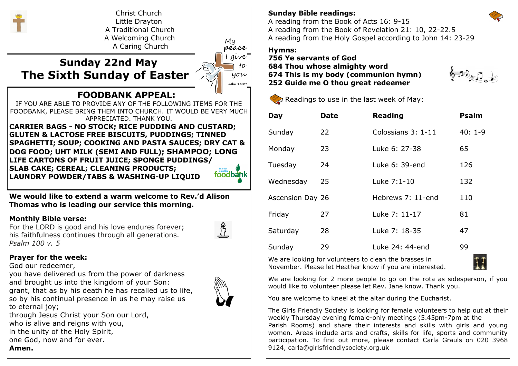

## **Prayer for the week:**

God our redeemer,

*Psalm 100 v. 5*

you have delivered us from the power of darkness and brought us into the kingdom of your Son: grant, that as by his death he has recalled us to life, so by his continual presence in us he may raise us to eternal joy;



through Jesus Christ your Son our Lord, who is alive and reigns with you, in the unity of the Holy Spirit, one God, now and for ever. **Amen.**

## **Sunday Bible readings:**

A reading from the Book of Acts 16: 9-15 A reading from the Book of Revelation 21: 10, 22-22.5 A reading from the Holy Gospel according to John 14: 23-29

## **Hymns:**

**756 Ye servants of God 684 Thou whose almighty word 674 This is my body (communion hymn) 252 Guide me O thou great redeemer**





| Day              | Date | <b>Reading</b>     | <b>Psalm</b> |
|------------------|------|--------------------|--------------|
| Sunday           | 22   | Colossians 3: 1-11 | $40:1-9$     |
| Monday           | 23   | Luke 6: 27-38      | 65           |
| Tuesday          | 24   | Luke 6: 39-end     | 126          |
| Wednesday        | 25   | Luke 7:1-10        | 132          |
| Ascension Day 26 |      | Hebrews 7: 11-end  | 110          |
| Friday           | 27   | Luke 7: 11-17      | 81           |
| Saturday         | 28   | Luke 7: 18-35      | 47           |
| Sunday           | 29   | Luke 24: 44-end    | 99           |

We are looking for volunteers to clean the brasses in November. Please let Heather know if you are interested.



We are looking for 2 more people to go on the rota as sidesperson, if you would like to volunteer please let Rev. Jane know. Thank you.

You are welcome to kneel at the altar during the Eucharist.

The Girls Friendly Society is looking for female volunteers to help out at their weekly Thursday evening female-only meetings (5.45pm-7pm at the Parish Rooms) and share their interests and skills with girls and young women. Areas include arts and crafts, skills for life, sports and community participation. To find out more, please contact Carla Grauls on 020 3968 9124, carla@girlsfriendlysociety.org.uk